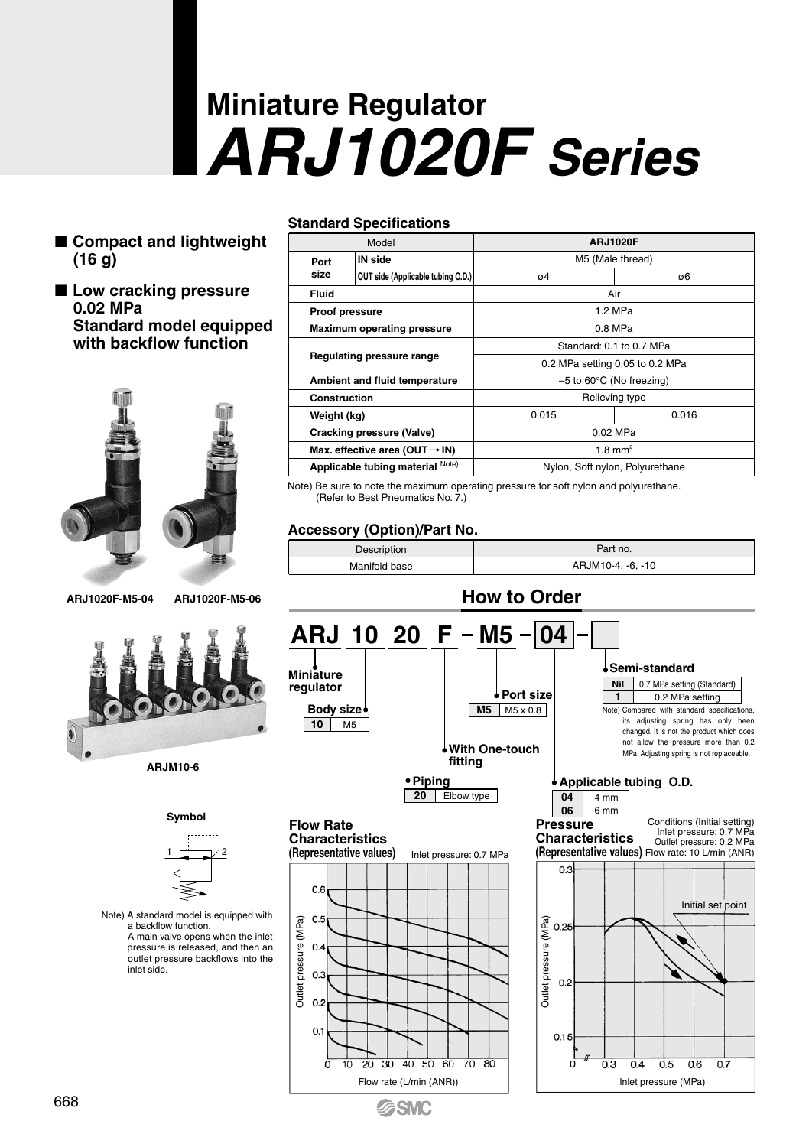# **Miniature Regulator** *ARJ1020F Series*

- Compact and lightweight **(16 g)**
- Low cracking pressure **0.02 MPa Standard model equipped with backflow function**





## **Symbol** Note) A standard model is equipped with  $1 \quad \square$   $2$

 a backflow function. A main valve opens when the inlet pressure is released, and then an outlet pressure backflows into the inlet side.

#### **Standard Specifications**

| Model                             |                                   | <b>ARJ1020F</b>                      |         |  |
|-----------------------------------|-----------------------------------|--------------------------------------|---------|--|
| IN side<br>Port                   |                                   | M5 (Male thread)                     |         |  |
| size                              | OUT side (Applicable tubing O.D.) | 04                                   | ø6      |  |
| Fluid                             |                                   | Air                                  |         |  |
| Proof pressure                    |                                   |                                      | 1.2 MPa |  |
| <b>Maximum operating pressure</b> |                                   | 0.8 MPa                              |         |  |
| Regulating pressure range         |                                   | Standard: 0.1 to 0.7 MPa             |         |  |
|                                   |                                   | 0.2 MPa setting 0.05 to 0.2 MPa      |         |  |
| Ambient and fluid temperature     |                                   | $-5$ to 60 $\degree$ C (No freezing) |         |  |
| Construction                      |                                   | Relieving type                       |         |  |
| Weight (kg)                       |                                   | 0.015                                | 0.016   |  |
| Cracking pressure (Valve)         |                                   | 0.02 MPa                             |         |  |
| Max. effective area (OUT→IN)      |                                   | $1.8 \text{ mm}^2$                   |         |  |
| Applicable tubing material Note)  |                                   | Nylon, Soft nylon, Polyurethane      |         |  |

Note) Be sure to note the maximum operating pressure for soft nylon and polyurethane. (Refer to Best Pneumatics No. 7.)

#### **Accessory (Option)/Part No.**

**SSMC** 

| Description   | Part no.          |  |
|---------------|-------------------|--|
| Manifold base | ARJM10-4. -6. -10 |  |

#### **How to Order** <u>ARJ 10 20 F - M5 - 04</u> **Semi-standard Miniature regulator** 0.7 MPa setting (Standard) **Nil Port size** 0.2 MPa setting **1 Body size M5** M5 x 0.8 Note) Compared with standard specifications, **10** M5 its adjusting spring has only been changed. It is not the product which does not allow the pressure more than 0.2 **With One-touch** MPa. Adjusting spring is not replaceable. **fitting Piping Applicable tubing O.D. 20** Elbow type  $\overline{04}$  4 mm **06** 6 mm Conditions (Initial setting) **Pressure Flow Rate**  Inlet pressure: 0.7 MPa Outlet pressure: 0.2 MPa **Characteristics Characteristics (Representative values)** (Representative values) Flow rate: 10 L/min (ANR) Inlet pressure: 0.7 MPa  $0.3$ 0<sub>6</sub> Initial set point (MPa)  $0<sub>f</sub>$ Outlet pressure (MPa) Outlet pressure (MPa) Outlet pressure (MPa)  $0.25$  $0.4$ **Outlet** pressure  $0.3$  $0.2$  $0.2$  $01$  $0.15$  $\frac{1}{20}$ ċ ᆠ  $\frac{1}{30}$  $40,50,60$  $\frac{1}{70}$ -80 ó  $0.3$  $0.4$  $0.5$  $\overline{0.6}$  $\overline{0.7}$ Flow rate (L/min (ANR))  $\vert$  | Inlet pressure (MPa)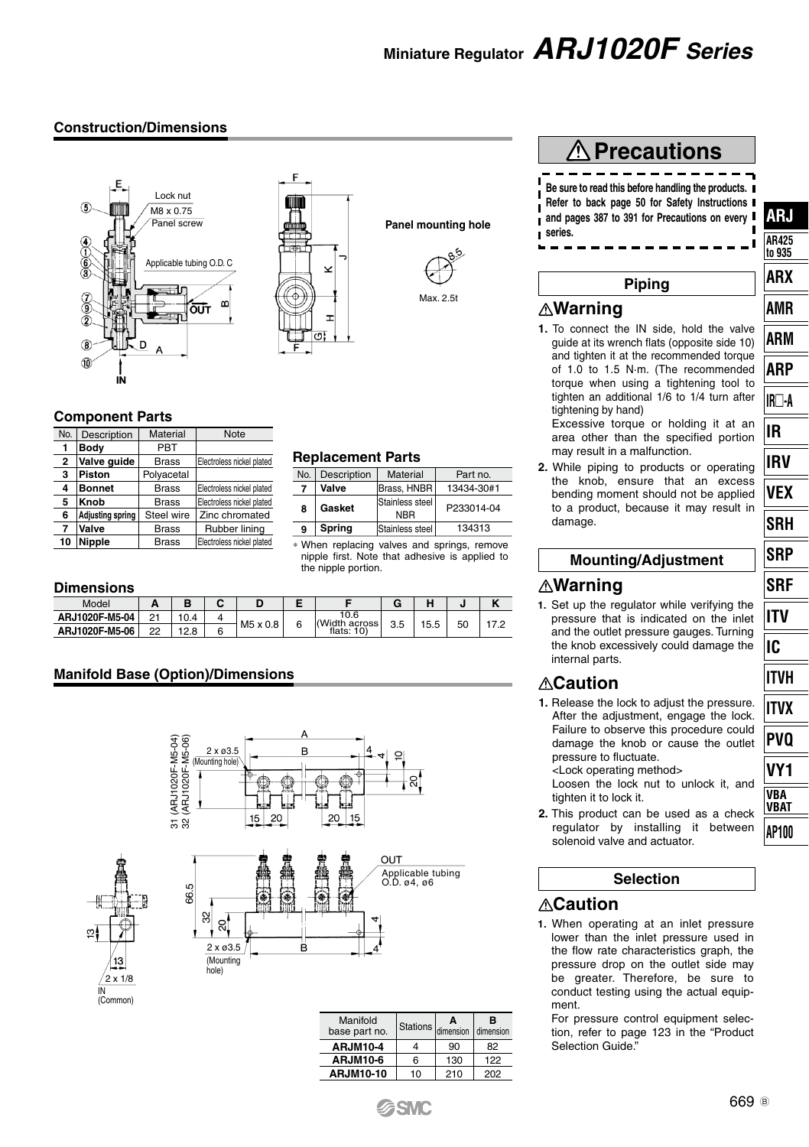### **Miniature Regulator** *ARJ1020F Series*

#### **Construction/Dimensions**





**Dimensions**

| No.                     | Description             | Material     | Note                      |  |
|-------------------------|-------------------------|--------------|---------------------------|--|
| 1                       | Body                    | PBT          |                           |  |
| $\overline{\mathbf{2}}$ | Valve guide             | <b>Brass</b> | Electroless nickel plated |  |
| 3                       | Piston                  | Polyacetal   |                           |  |
| 4                       | <b>Bonnet</b>           | <b>Brass</b> | Electroless nickel plated |  |
| 5                       | Knob                    | <b>Brass</b> | Electroless nickel plated |  |
| 6                       | <b>Adjusting spring</b> | Steel wire   | Zinc chromated            |  |
| 7                       | Valve                   | <b>Brass</b> | Rubber lining             |  |
| 10                      | Nipple                  | <b>Brass</b> | Electroless nickel plated |  |

## **Panel mounting hole**  $\ddot{\phantom{0}}$ Max. 2.5t

| <b>Replacement Parts</b> |  |
|--------------------------|--|
|--------------------------|--|

| No. | Description | Material                      | Part no.   |  |
|-----|-------------|-------------------------------|------------|--|
|     | Valve       | Brass, HNBR                   | 13434-30#1 |  |
| 8   | Gasket      | Stainless steel<br><b>NRR</b> | P233014-04 |  |
| 9   | Spring      | Stainless steel               | 134313     |  |

∗ When replacing valves and springs, remove nipple first. Note that adhesive is applied to the nipple portion.

| <b>PHILLIPIO</b> |    |      |  |          |   |                         |     |                     |    |                   |
|------------------|----|------|--|----------|---|-------------------------|-----|---------------------|----|-------------------|
| Model            | -  |      |  |          |   |                         | G   | $\blacksquare$<br>ш |    | $\mathbf{z}$<br>N |
| ARJ1020F-M5-04   | 21 | 10.4 |  | M5 x 0.8 | 6 | 10.6<br>Width<br>across | 3.5 | 15.5                | 50 |                   |
| ARJ1020F-M5-06   | 22 | 12.8 |  |          |   | flats: $10$ )           |     |                     |    |                   |

#### **Manifold Base (Option)/Dimensions**

 $\overline{16}$ ශි







| Manifold<br>base part no. | Δ<br>Stations dimension dimension |     | в   |  |
|---------------------------|-----------------------------------|-----|-----|--|
| <b>ARJM10-4</b>           |                                   | 90  | 82  |  |
| <b>ARJM10-6</b>           | 6                                 | 130 | 122 |  |
| <b>ARJM10-10</b>          | 10                                | 210 | 202 |  |

#### **Precautions Be sure to read this before handling the products. Refer to back page 50 for Safety Instructions and pages 387 to 391 for Precautions on every series.**

#### **Piping**

#### **Warning**

**1.** To connect the IN side, hold the valve guide at its wrench flats (opposite side 10) and tighten it at the recommended torque of 1.0 to 1.5 N·m. (The recommended torque when using a tightening tool to tighten an additional 1/6 to 1/4 turn after tightening by hand) Excessive torque or holding it at an

area other than the specified portion may result in a malfunction. **2.** While piping to products or operating

the knob, ensure that an excess bending moment should not be applied to a product, because it may result in damage.

#### **Mounting/Adjustment**

#### **Warning**

**1.** Set up the regulator while verifying the pressure that is indicated on the inlet and the outlet pressure gauges. Turning the knob excessively could damage the internal parts.

#### **Caution**

**1.** Release the lock to adjust the pressure. After the adjustment, engage the lock. Failure to observe this procedure could damage the knob or cause the outlet pressure to fluctuate. <Lock operating method>

Loosen the lock nut to unlock it, and tighten it to lock it.

**2.** This product can be used as a check regulator by installing it between solenoid valve and actuator.

#### **Selection**

#### **Caution**

**1.** When operating at an inlet pressure lower than the inlet pressure used in the flow rate characteristics graph, the pressure drop on the outlet side may be greater. Therefore, be sure to conduct testing using the actual equipment.

For pressure control equipment selection, refer to page 123 in the "Product Selection Guide."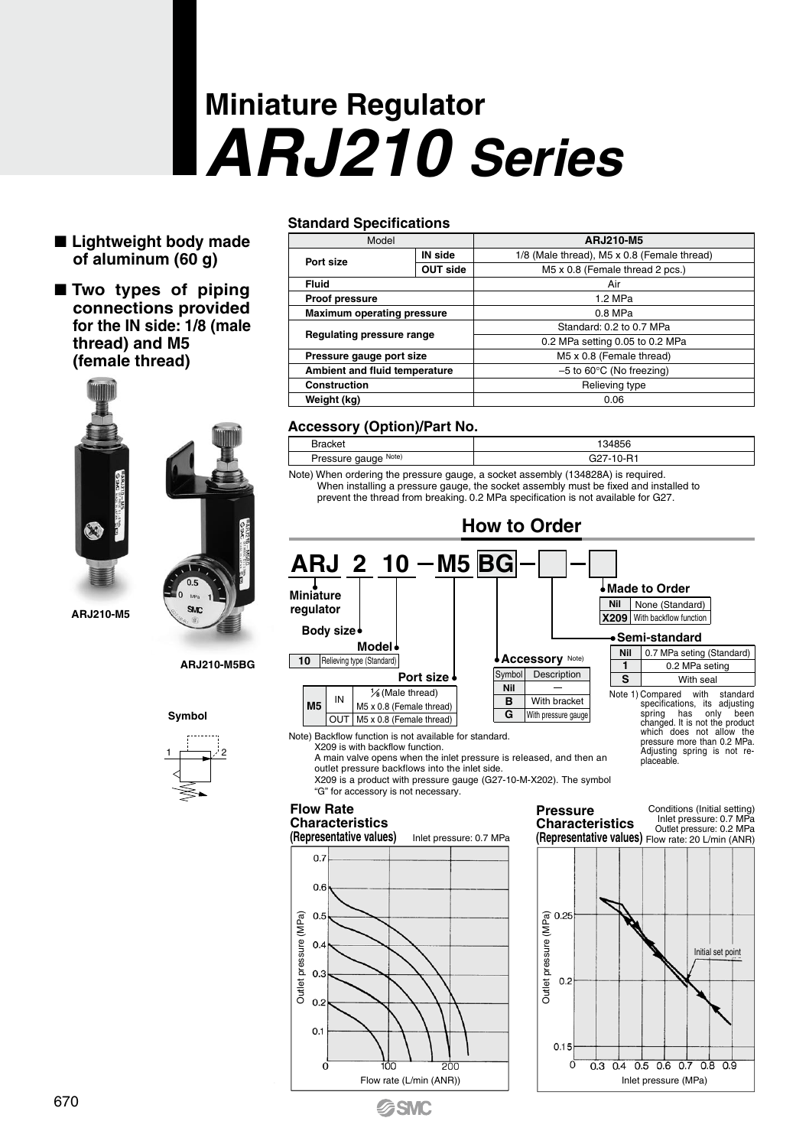# **Miniature Regulator** *ARJ210 Series*

- **Lightweight body made of aluminum (60 g)**
- **Two types of piping connections provided for the IN side: 1/8 (male thread) and M5 (female thread)**



#### **ARJ210-M5BG**

**Symbol**



#### **Standard Specifications**

| Model                         |          | ARJ210-M5                                   |  |  |
|-------------------------------|----------|---------------------------------------------|--|--|
| Port size                     | IN side  | 1/8 (Male thread), M5 x 0.8 (Female thread) |  |  |
|                               | OUT side | M5 x 0.8 (Female thread 2 pcs.)             |  |  |
| Fluid                         |          | Air                                         |  |  |
| <b>Proof pressure</b>         |          | $1.2$ MPa                                   |  |  |
| Maximum operating pressure    |          | $0.8$ MPa                                   |  |  |
| Regulating pressure range     |          | Standard: 0.2 to 0.7 MPa                    |  |  |
|                               |          | 0.2 MPa setting 0.05 to 0.2 MPa             |  |  |
| Pressure gauge port size      |          | M5 x 0.8 (Female thread)                    |  |  |
| Ambient and fluid temperature |          | $-5$ to 60 $\degree$ C (No freezing)        |  |  |
| Construction                  |          | Relieving type                              |  |  |
| Weight (kg)                   |          | 0.06                                        |  |  |

#### **Accessory (Option)/Part No.**

| <b>Bracket</b>                                                                   | 134856    |  |  |
|----------------------------------------------------------------------------------|-----------|--|--|
| Pressure gauge Note)                                                             | G27-10-R1 |  |  |
| Note) When ordering the pressure gauge, a socket assembly (134828A) is required. |           |  |  |

Note) When ordering the pressure gauge, a socket assembly (134828A) is required. When installing a pressure gauge, the socket assembly must be fixed and installed to prevent the thread from breaking. 0.2 MPa specification is not available for G27.



X209 is with backflow function.

A main valve opens when the inlet pressure is released, and then an outlet pressure backflows into the inlet side.

X209 is a product with pressure gauge (G27-10-M-X202). The symbol "G" for accessory is not necessary.

#### **Flow Rate**

### **Characteristics**



**GSMC**